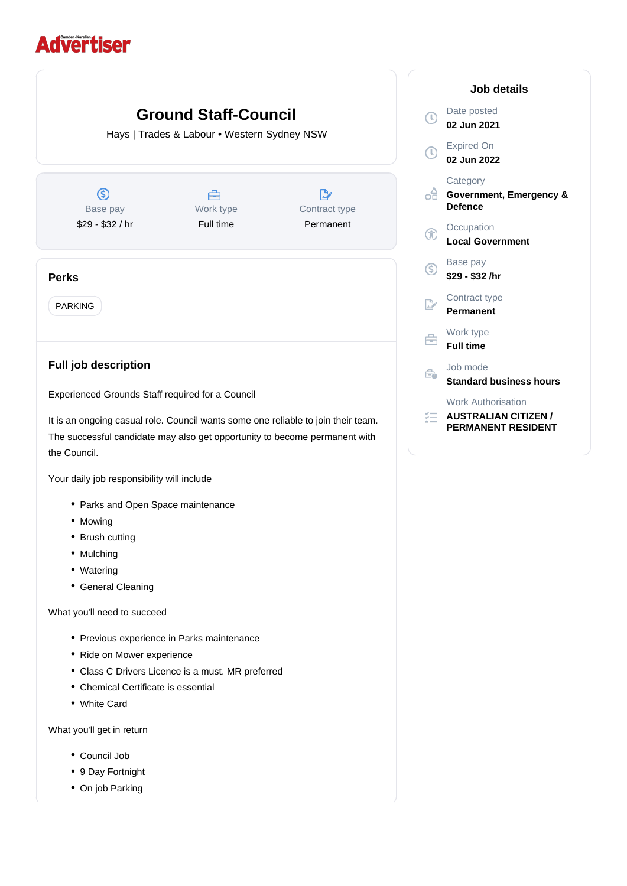## **Advertiser**

## **Ground Staff-Council**  $\overline{C}$ Hays | Trades & Labour • Western Sydney NSW  $\mathcal{C}$ **Category**  $\circledS$ 合  $\mathbb{D}$ of **Defence** Base pay Work type Contract type \$29 - \$32 / hr Full time Permanent G Base pay  $\mathsf{G}$ **Perks** PARKING  $\mathbb{R}$ Work type É **Full time Full job description** Job mode  $\in$ Experienced Grounds Staff required for a Council 狂。 **AUSTRALIAN CITIZEN /** It is an ongoing casual role. Council wants some one reliable to join their team. **PERMANENT RESIDENT** The successful candidate may also get opportunity to become permanent with the Council.

Your daily job responsibility will include

- Parks and Open Space maintenance
- Mowing
- Brush cutting
- Mulching
- Watering
- General Cleaning

What you'll need to succeed

- Previous experience in Parks maintenance
- Ride on Mower experience
- Class C Drivers Licence is a must. MR preferred
- Chemical Certificate is essential
- White Card

What you'll get in return

- Council Job
- 9 Day Fortnight
- On job Parking

| Job details |                                                       |
|-------------|-------------------------------------------------------|
|             | Date posted<br>02 Jun 2021                            |
|             | <b>Expired On</b><br>02 Jun 2022                      |
|             | Category<br>Government, Emergency &<br><b>Defence</b> |
|             | Occupation<br><b>Local Government</b>                 |
| ĺ           | Base pay<br>\$29 - \$32 /hr                           |
|             | Contract type<br>Permanent                            |
|             | Work type<br><b>Full time</b>                         |
| ò           | Job mode<br><b>Standard business hours</b>            |
|             | <b>Work Authorisation</b>                             |